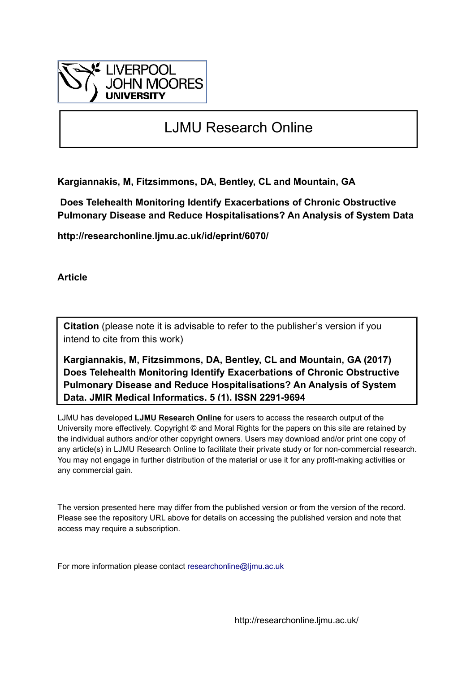

# LJMU Research Online

**Kargiannakis, M, Fitzsimmons, DA, Bentley, CL and Mountain, GA**

 **Does Telehealth Monitoring Identify Exacerbations of Chronic Obstructive Pulmonary Disease and Reduce Hospitalisations? An Analysis of System Data**

**http://researchonline.ljmu.ac.uk/id/eprint/6070/**

**Article**

**Citation** (please note it is advisable to refer to the publisher's version if you intend to cite from this work)

**Kargiannakis, M, Fitzsimmons, DA, Bentley, CL and Mountain, GA (2017) Does Telehealth Monitoring Identify Exacerbations of Chronic Obstructive Pulmonary Disease and Reduce Hospitalisations? An Analysis of System Data. JMIR Medical Informatics, 5 (1). ISSN 2291-9694** 

LJMU has developed **[LJMU Research Online](http://researchonline.ljmu.ac.uk/)** for users to access the research output of the University more effectively. Copyright © and Moral Rights for the papers on this site are retained by the individual authors and/or other copyright owners. Users may download and/or print one copy of any article(s) in LJMU Research Online to facilitate their private study or for non-commercial research. You may not engage in further distribution of the material or use it for any profit-making activities or any commercial gain.

The version presented here may differ from the published version or from the version of the record. Please see the repository URL above for details on accessing the published version and note that access may require a subscription.

For more information please contact [researchonline@ljmu.ac.uk](mailto:researchonline@ljmu.ac.uk)

http://researchonline.ljmu.ac.uk/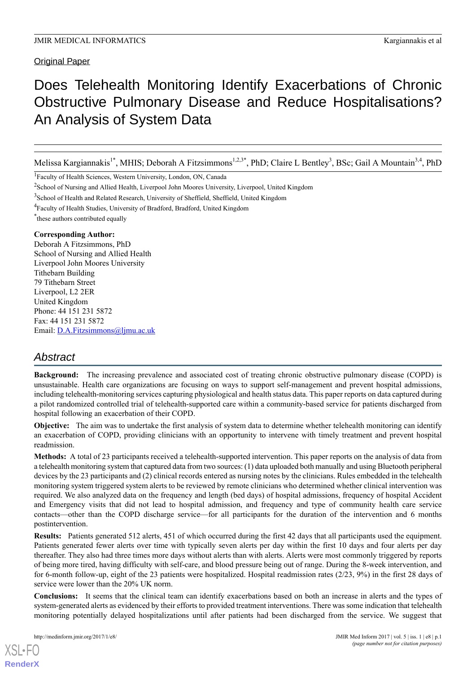Original Paper

# Does Telehealth Monitoring Identify Exacerbations of Chronic Obstructive Pulmonary Disease and Reduce Hospitalisations? An Analysis of System Data

Melissa Kargiannakis<sup>1\*</sup>, MHIS; Deborah A Fitzsimmons<sup>1,2,3\*</sup>, PhD; Claire L Bentley<sup>3</sup>, BSc; Gail A Mountain<sup>3,4</sup>, PhD

<sup>1</sup>Faculty of Health Sciences, Western University, London, ON, Canada

- <sup>3</sup> School of Health and Related Research, University of Sheffield, Sheffield, United Kingdom
- <sup>4</sup>Faculty of Health Studies, University of Bradford, Bradford, United Kingdom

\* these authors contributed equally

### **Corresponding Author:**

Deborah A Fitzsimmons, PhD School of Nursing and Allied Health Liverpool John Moores University Tithebarn Building 79 Tithebarn Street Liverpool, L2 2ER United Kingdom Phone: 44 151 231 5872 Fax: 44 151 231 5872 Email: [D.A.Fitzsimmons@ljmu.ac.uk](mailto:D.A.Fitzsimmons@ljmu.ac.uk)

# *Abstract*

**Background:** The increasing prevalence and associated cost of treating chronic obstructive pulmonary disease (COPD) is unsustainable. Health care organizations are focusing on ways to support self-management and prevent hospital admissions, including telehealth-monitoring services capturing physiological and health status data. This paper reports on data captured during a pilot randomized controlled trial of telehealth-supported care within a community-based service for patients discharged from hospital following an exacerbation of their COPD.

**Objective:** The aim was to undertake the first analysis of system data to determine whether telehealth monitoring can identify an exacerbation of COPD, providing clinicians with an opportunity to intervene with timely treatment and prevent hospital readmission.

**Methods:** A total of 23 participants received a telehealth-supported intervention. This paper reports on the analysis of data from a telehealth monitoring system that captured data from two sources: (1) data uploaded both manually and using Bluetooth peripheral devices by the 23 participants and (2) clinical records entered as nursing notes by the clinicians. Rules embedded in the telehealth monitoring system triggered system alerts to be reviewed by remote clinicians who determined whether clinical intervention was required. We also analyzed data on the frequency and length (bed days) of hospital admissions, frequency of hospital Accident and Emergency visits that did not lead to hospital admission, and frequency and type of community health care service contacts—other than the COPD discharge service—for all participants for the duration of the intervention and 6 months postintervention.

**Results:** Patients generated 512 alerts, 451 of which occurred during the first 42 days that all participants used the equipment. Patients generated fewer alerts over time with typically seven alerts per day within the first 10 days and four alerts per day thereafter. They also had three times more days without alerts than with alerts. Alerts were most commonly triggered by reports of being more tired, having difficulty with self-care, and blood pressure being out of range. During the 8-week intervention, and for 6-month follow-up, eight of the 23 patients were hospitalized. Hospital readmission rates (2/23, 9%) in the first 28 days of service were lower than the 20% UK norm.

**Conclusions:** It seems that the clinical team can identify exacerbations based on both an increase in alerts and the types of system-generated alerts as evidenced by their efforts to provided treatment interventions. There was some indication that telehealth monitoring potentially delayed hospitalizations until after patients had been discharged from the service. We suggest that

[XSL](http://www.w3.org/Style/XSL)•FO **[RenderX](http://www.renderx.com/)**

<sup>&</sup>lt;sup>2</sup>School of Nursing and Allied Health, Liverpool John Moores University, Liverpool, United Kingdom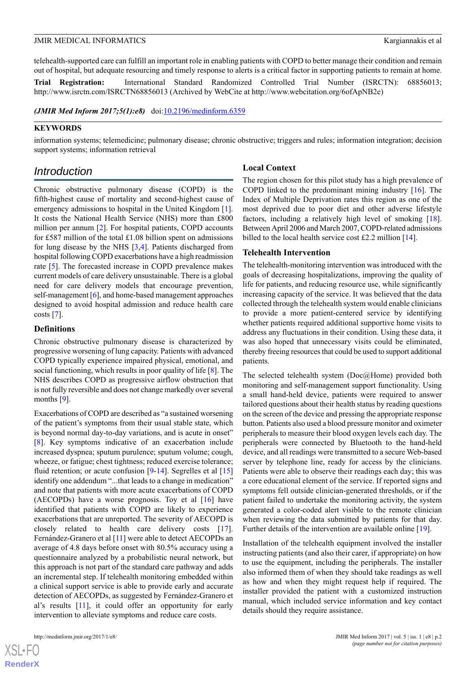telehealth-supported care can fulfill an important role in enabling patients with COPD to better manage their condition and remain out of hospital, but adequate resourcing and timely response to alerts is a critical factor in supporting patients to remain at home.

**Trial Registration:** International Standard Randomized Controlled Trial Number (ISRCTN): 68856013; http://www.isrctn.com/ISRCTN68856013 (Archived by WebCite at http://www.webcitation.org/6ofApNB2e)

*(JMIR Med Inform 2017;5(1):e8)* doi:[10.2196/medinform.6359](http://dx.doi.org/10.2196/medinform.6359)

### **KEYWORDS**

information systems; telemedicine; pulmonary disease; chronic obstructive; triggers and rules; information integration; decision support systems; information retrieval

# *Introduction*

Chronic obstructive pulmonary disease (COPD) is the fifth-highest cause of mortality and second-highest cause of emergency admissions to hospital in the United Kingdom [[1\]](#page-13-0). It costs the National Health Service (NHS) more than £800 million per annum [\[2](#page-13-1)]. For hospital patients, COPD accounts for £587 million of the total £1.08 billion spent on admissions for lung disease by the NHS [\[3](#page-13-2),[4\]](#page-13-3). Patients discharged from hospital following COPD exacerbations have a high readmission rate [\[5](#page-13-4)]. The forecasted increase in COPD prevalence makes current models of care delivery unsustainable. There is a global need for care delivery models that encourage prevention, self-management [[6\]](#page-13-5), and home-based management approaches designed to avoid hospital admission and reduce health care costs  $[7]$  $[7]$ .

### **Definitions**

Chronic obstructive pulmonary disease is characterized by progressive worsening of lung capacity. Patients with advanced COPD typically experience impaired physical, emotional, and social functioning, which results in poor quality of life [\[8](#page-13-7)]. The NHS describes COPD as progressive airflow obstruction that is not fully reversible and does not change markedly over several months [[9\]](#page-13-8).

Exacerbations of COPD are described as "a sustained worsening of the patient's symptoms from their usual stable state, which is beyond normal day-to-day variations, and is acute in onset" [[8\]](#page-13-7). Key symptoms indicative of an exacerbation include increased dyspnea; sputum purulence; sputum volume; cough, wheeze, or fatigue; chest tightness; reduced exercise tolerance; fluid retention; or acute confusion [\[9](#page-13-8)-[14\]](#page-13-9). Segrelles et al [\[15](#page-13-10)] identify one addendum "...that leads to a change in medication" and note that patients with more acute exacerbations of COPD (AECOPDs) have a worse prognosis. Toy et al  $[16]$  $[16]$  have identified that patients with COPD are likely to experience exacerbations that are unreported. The severity of AECOPD is closely related to health care delivery costs [[17\]](#page-13-12). Fernández-Granero et al [\[11](#page-13-13)] were able to detect AECOPDs an average of 4.8 days before onset with 80.5% accuracy using a questionnaire analyzed by a probabilistic neural network, but this approach is not part of the standard care pathway and adds an incremental step. If telehealth monitoring embedded within a clinical support service is able to provide early and accurate detection of AECOPDs, as suggested by Fernández-Granero et al's results [\[11\]](#page-13-13), it could offer an opportunity for early intervention to alleviate symptoms and reduce care costs.

 $XS$  • FO **[RenderX](http://www.renderx.com/)** The region chosen for this pilot study has a high prevalence of COPD linked to the predominant mining industry [[16\]](#page-13-11). The Index of Multiple Deprivation rates this region as one of the most deprived due to poor diet and other adverse lifestyle factors, including a relatively high level of smoking [[18\]](#page-14-0). Between April 2006 and March 2007, COPD-related admissions billed to the local health service cost £2.2 million [[14\]](#page-13-9).

### **Telehealth Intervention**

**Local Context**

The telehealth-monitoring intervention was introduced with the goals of decreasing hospitalizations, improving the quality of life for patients, and reducing resource use, while significantly increasing capacity of the service. It was believed that the data collected through the telehealth system would enable clinicians to provide a more patient-centered service by identifying whether patients required additional supportive home visits to address any fluctuations in their condition. Using these data, it was also hoped that unnecessary visits could be eliminated, thereby freeing resources that could be used to support additional patients.

The selected telehealth system (Doc@Home) provided both monitoring and self-management support functionality. Using a small hand-held device, patients were required to answer tailored questions about their health status by reading questions on the screen of the device and pressing the appropriate response button. Patients also used a blood pressure monitor and oximeter peripherals to measure their blood oxygen levels each day. The peripherals were connected by Bluetooth to the hand-held device, and all readings were transmitted to a secure Web-based server by telephone line, ready for access by the clinicians. Patients were able to observe their readings each day; this was a core educational element of the service. If reported signs and symptoms fell outside clinician-generated thresholds, or if the patient failed to undertake the monitoring activity, the system generated a color-coded alert visible to the remote clinician when reviewing the data submitted by patients for that day. Further details of the intervention are available online [\[19](#page-14-1)].

Installation of the telehealth equipment involved the installer instructing patients (and also their carer, if appropriate) on how to use the equipment, including the peripherals. The installer also informed them of when they should take readings as well as how and when they might request help if required. The installer provided the patient with a customized instruction manual, which included service information and key contact details should they require assistance.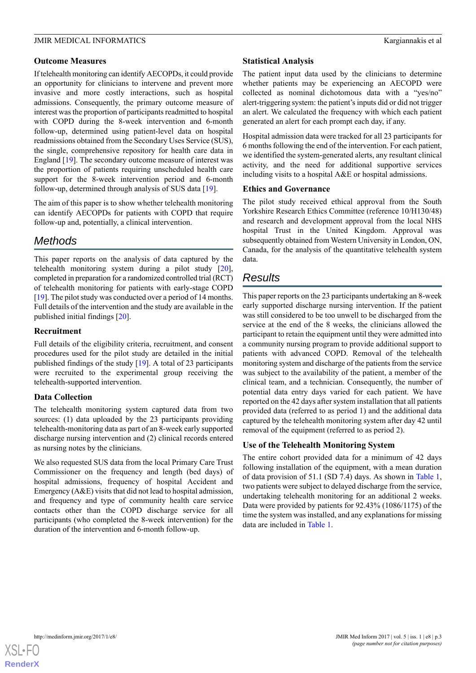### **Outcome Measures**

If telehealth monitoring can identify AECOPDs, it could provide an opportunity for clinicians to intervene and prevent more invasive and more costly interactions, such as hospital admissions. Consequently, the primary outcome measure of interest was the proportion of participants readmitted to hospital with COPD during the 8-week intervention and 6-month follow-up, determined using patient-level data on hospital readmissions obtained from the Secondary Uses Service (SUS), the single, comprehensive repository for health care data in England [[19\]](#page-14-1). The secondary outcome measure of interest was the proportion of patients requiring unscheduled health care support for the 8-week intervention period and 6-month follow-up, determined through analysis of SUS data [[19\]](#page-14-1).

The aim of this paper is to show whether telehealth monitoring can identify AECOPDs for patients with COPD that require follow-up and, potentially, a clinical intervention.

# *Methods*

This paper reports on the analysis of data captured by the telehealth monitoring system during a pilot study [[20\]](#page-14-2), completed in preparation for a randomized controlled trial (RCT) of telehealth monitoring for patients with early-stage COPD [[19\]](#page-14-1). The pilot study was conducted over a period of 14 months. Full details of the intervention and the study are available in the published initial findings [\[20](#page-14-2)].

### **Recruitment**

Full details of the eligibility criteria, recruitment, and consent procedures used for the pilot study are detailed in the initial published findings of the study [[19\]](#page-14-1). A total of 23 participants were recruited to the experimental group receiving the telehealth-supported intervention.

### **Data Collection**

The telehealth monitoring system captured data from two sources: (1) data uploaded by the 23 participants providing telehealth-monitoring data as part of an 8-week early supported discharge nursing intervention and (2) clinical records entered as nursing notes by the clinicians.

We also requested SUS data from the local Primary Care Trust Commissioner on the frequency and length (bed days) of hospital admissions, frequency of hospital Accident and Emergency  $(A&E)$  visits that did not lead to hospital admission, and frequency and type of community health care service contacts other than the COPD discharge service for all participants (who completed the 8-week intervention) for the duration of the intervention and 6-month follow-up.

### **Statistical Analysis**

The patient input data used by the clinicians to determine whether patients may be experiencing an AECOPD were collected as nominal dichotomous data with a "yes/no" alert-triggering system: the patient's inputs did or did not trigger an alert. We calculated the frequency with which each patient generated an alert for each prompt each day, if any.

Hospital admission data were tracked for all 23 participants for 6 months following the end of the intervention. For each patient, we identified the system-generated alerts, any resultant clinical activity, and the need for additional supportive services including visits to a hospital A&E or hospital admissions.

### **Ethics and Governance**

The pilot study received ethical approval from the South Yorkshire Research Ethics Committee (reference 10/H130/48) and research and development approval from the local NHS hospital Trust in the United Kingdom. Approval was subsequently obtained from Western University in London, ON, Canada, for the analysis of the quantitative telehealth system data.

# *Results*

This paper reports on the 23 participants undertaking an 8-week early supported discharge nursing intervention. If the patient was still considered to be too unwell to be discharged from the service at the end of the 8 weeks, the clinicians allowed the participant to retain the equipment until they were admitted into a community nursing program to provide additional support to patients with advanced COPD. Removal of the telehealth monitoring system and discharge of the patients from the service was subject to the availability of the patient, a member of the clinical team, and a technician. Consequently, the number of potential data entry days varied for each patient. We have reported on the 42 days after system installation that all patients provided data (referred to as period 1) and the additional data captured by the telehealth monitoring system after day 42 until removal of the equipment (referred to as period 2).

### **Use of the Telehealth Monitoring System**

The entire cohort provided data for a minimum of 42 days following installation of the equipment, with a mean duration of data provision of 51.1 (SD 7.4) days. As shown in [Table 1](#page-4-0), two patients were subject to delayed discharge from the service, undertaking telehealth monitoring for an additional 2 weeks. Data were provided by patients for 92.43% (1086/1175) of the time the system was installed, and any explanations for missing data are included in [Table 1](#page-4-0).

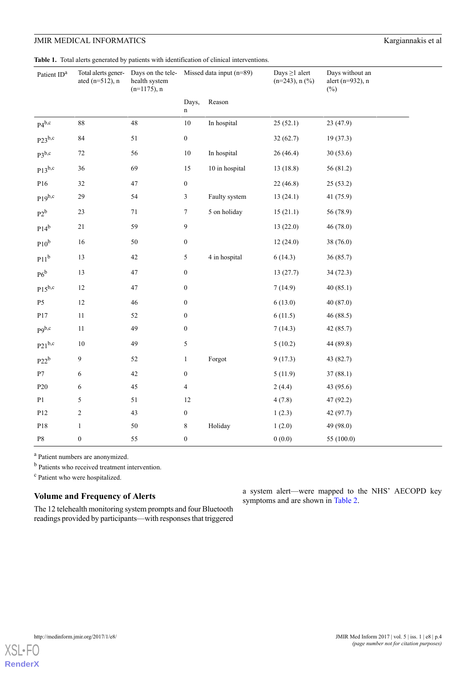<span id="page-4-0"></span>**Table 1.** Total alerts generated by patients with identification of clinical interventions.

| Patient ID <sup>a</sup> | Total alerts gener-<br>ated $(n=512)$ , n | health system<br>$(n=1175)$ , n | Days on the tele- Missed data input $(n=89)$ |                | Days $\geq$ 1 alert<br>$(n=243)$ , n $(\% )$ | Days without an<br>alert (n=932), n<br>$(\%)$ |
|-------------------------|-------------------------------------------|---------------------------------|----------------------------------------------|----------------|----------------------------------------------|-----------------------------------------------|
|                         |                                           |                                 | Days,<br>$\mathbf n$                         | Reason         |                                              |                                               |
| $P4^{b,c}$              | 88                                        | 48                              | $10\,$                                       | In hospital    | 25(52.1)                                     | 23 (47.9)                                     |
| $P23^{b,c}$             | 84                                        | 51                              | $\boldsymbol{0}$                             |                | 32(62.7)                                     | 19 (37.3)                                     |
| $P3^{b,c}$              | $72\,$                                    | 56                              | $10\,$                                       | In hospital    | 26(46.4)                                     | 30(53.6)                                      |
| $P13^{b,c}$             | 36                                        | 69                              | $15\,$                                       | 10 in hospital | 13(18.8)                                     | 56 (81.2)                                     |
| P16                     | 32                                        | $47\,$                          | $\boldsymbol{0}$                             |                | 22(46.8)                                     | 25(53.2)                                      |
| $P19^{b,c}$             | 29                                        | 54                              | $\mathfrak{Z}$                               | Faulty system  | 13(24.1)                                     | 41 (75.9)                                     |
| $P2^b$                  | $23\,$                                    | $71\,$                          | $\tau$                                       | 5 on holiday   | 15(21.1)                                     | 56 (78.9)                                     |
| $P14^b$                 | $21\,$                                    | 59                              | 9                                            |                | 13(22.0)                                     | 46 (78.0)                                     |
| $P10^b$                 | 16                                        | 50                              | $\boldsymbol{0}$                             |                | 12(24.0)                                     | 38 (76.0)                                     |
| P11 <sup>b</sup>        | 13                                        | $42\,$                          | 5                                            | 4 in hospital  | 6(14.3)                                      | 36 (85.7)                                     |
| $P6^b$                  | 13                                        | $47\,$                          | $\boldsymbol{0}$                             |                | 13(27.7)                                     | 34(72.3)                                      |
| $P15^{b,c}$             | 12                                        | $47\,$                          | $\boldsymbol{0}$                             |                | 7(14.9)                                      | 40(85.1)                                      |
| P <sub>5</sub>          | 12                                        | 46                              | $\boldsymbol{0}$                             |                | 6(13.0)                                      | 40 (87.0)                                     |
| P17                     | $11\,$                                    | 52                              | $\boldsymbol{0}$                             |                | 6(11.5)                                      | 46 (88.5)                                     |
| $p9^{b,c}$              | $11\,$                                    | 49                              | $\boldsymbol{0}$                             |                | 7(14.3)                                      | 42 (85.7)                                     |
| $P21^{b,c}$             | $10\,$                                    | 49                              | 5                                            |                | 5(10.2)                                      | 44 (89.8)                                     |
| $P22^b$                 | 9                                         | 52                              | $\mathbf{1}$                                 | Forgot         | 9(17.3)                                      | 43 (82.7)                                     |
| $\mathbf{P}7$           | $\boldsymbol{6}$                          | 42                              | $\boldsymbol{0}$                             |                | 5(11.9)                                      | 37(88.1)                                      |
| P <sub>20</sub>         | 6                                         | 45                              | $\overline{4}$                               |                | 2(4.4)                                       | 43 (95.6)                                     |
| P1                      | 5                                         | 51                              | $12\,$                                       |                | 4(7.8)                                       | 47 (92.2)                                     |
| P12                     | $\boldsymbol{2}$                          | 43                              | $\boldsymbol{0}$                             |                | 1(2.3)                                       | 42 (97.7)                                     |
| P18                     | $\mathbf{1}$                              | $50\,$                          | $8\,$                                        | Holiday        | 1(2.0)                                       | 49 (98.0)                                     |
| $\mathbf{P8}$           | $\boldsymbol{0}$                          | 55                              | $\boldsymbol{0}$                             |                | 0(0.0)                                       | 55 (100.0)                                    |

<sup>a</sup> Patient numbers are anonymized.

**b** Patients who received treatment intervention.

<sup>c</sup> Patient who were hospitalized.

### **Volume and Frequency of Alerts**

The 12 telehealth monitoring system prompts and four Bluetooth readings provided by participants—with responses that triggered a system alert—were mapped to the NHS' AECOPD key symptoms and are shown in [Table 2](#page-5-0).

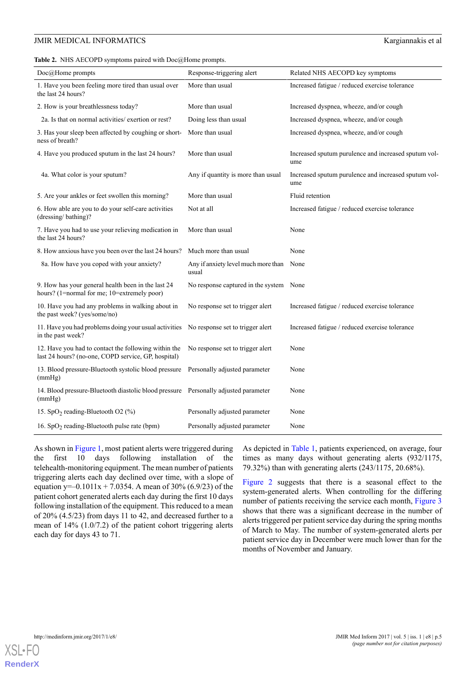### JMIR MEDICAL INFORMATICS **Kargiannakis et al. Kargiannakis et al. Kargiannakis et al. Kargiannakis et al. Kargiannakis et al. Kargiannakis et al. Kargiannakis et al. Kargiannakis et al. Kargiannakis et al.**

<span id="page-5-0"></span>**Table 2.** NHS AECOPD symptoms paired with Doc@Home prompts.

| $Doc@$ Home prompts                                                                                         | Response-triggering alert                    | Related NHS AECOPD key symptoms                             |  |  |
|-------------------------------------------------------------------------------------------------------------|----------------------------------------------|-------------------------------------------------------------|--|--|
| 1. Have you been feeling more tired than usual over<br>the last 24 hours?                                   | More than usual                              | Increased fatigue / reduced exercise tolerance              |  |  |
| 2. How is your breathlessness today?                                                                        | More than usual                              | Increased dyspnea, wheeze, and/or cough                     |  |  |
| 2a. Is that on normal activities/ exertion or rest?                                                         | Doing less than usual                        | Increased dyspnea, wheeze, and/or cough                     |  |  |
| 3. Has your sleep been affected by coughing or short-<br>ness of breath?                                    | More than usual                              | Increased dyspnea, wheeze, and/or cough                     |  |  |
| 4. Have you produced sputum in the last 24 hours?                                                           | More than usual                              | Increased sputum purulence and increased sputum vol-<br>ume |  |  |
| 4a. What color is your sputum?                                                                              | Any if quantity is more than usual           | Increased sputum purulence and increased sputum vol-<br>ume |  |  |
| 5. Are your ankles or feet swollen this morning?                                                            | More than usual                              | Fluid retention                                             |  |  |
| 6. How able are you to do your self-care activities<br>(dressing/bathing)?                                  | Not at all                                   | Increased fatigue / reduced exercise tolerance              |  |  |
| 7. Have you had to use your relieving medication in<br>the last 24 hours?                                   | More than usual                              | None                                                        |  |  |
| 8. How anxious have you been over the last 24 hours?                                                        | Much more than usual                         | None                                                        |  |  |
| 8a. How have you coped with your anxiety?                                                                   | Any if anxiety level much more than<br>usual | None                                                        |  |  |
| 9. How has your general health been in the last 24<br>hours? (1=normal for me; 10=extremely poor)           | No response captured in the system None      |                                                             |  |  |
| 10. Have you had any problems in walking about in<br>the past week? (yes/some/no)                           | No response set to trigger alert             | Increased fatigue / reduced exercise tolerance              |  |  |
| 11. Have you had problems doing your usual activities<br>in the past week?                                  | No response set to trigger alert             | Increased fatigue / reduced exercise tolerance              |  |  |
| 12. Have you had to contact the following within the<br>last 24 hours? (no-one, COPD service, GP, hospital) | No response set to trigger alert             | None                                                        |  |  |
| 13. Blood pressure-Bluetooth systolic blood pressure<br>(mmHg)                                              | Personally adjusted parameter                | None                                                        |  |  |
| 14. Blood pressure-Bluetooth diastolic blood pressure Personally adjusted parameter<br>(mmHg)               |                                              | None                                                        |  |  |
| 15. SpO <sub>2</sub> reading-Bluetooth O2 (%)                                                               | Personally adjusted parameter                | None                                                        |  |  |
| 16. $SpO2$ reading-Bluetooth pulse rate (bpm)                                                               | Personally adjusted parameter                | None                                                        |  |  |

As shown in [Figure 1,](#page-6-0) most patient alerts were triggered during the first 10 days following installation of the telehealth-monitoring equipment. The mean number of patients triggering alerts each day declined over time, with a slope of equation y= $-0.1011x + 7.0354$ . A mean of 30% (6.9/23) of the patient cohort generated alerts each day during the first 10 days following installation of the equipment. This reduced to a mean of 20% (4.5/23) from days 11 to 42, and decreased further to a mean of 14% (1.0/7.2) of the patient cohort triggering alerts each day for days 43 to 71.

As depicted in [Table 1](#page-4-0), patients experienced, on average, four times as many days without generating alerts (932/1175, 79.32%) than with generating alerts (243/1175, 20.68%).

[Figure 2](#page-6-1) suggests that there is a seasonal effect to the system-generated alerts. When controlling for the differing number of patients receiving the service each month, [Figure 3](#page-7-0) shows that there was a significant decrease in the number of alerts triggered per patient service day during the spring months of March to May. The number of system-generated alerts per patient service day in December were much lower than for the months of November and January.

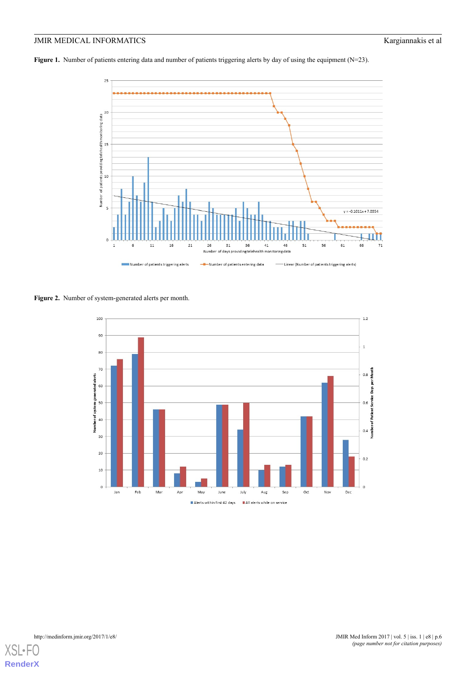<span id="page-6-0"></span>**Figure 1.** Number of patients entering data and number of patients triggering alerts by day of using the equipment (N=23).



<span id="page-6-1"></span>**Figure 2.** Number of system-generated alerts per month.



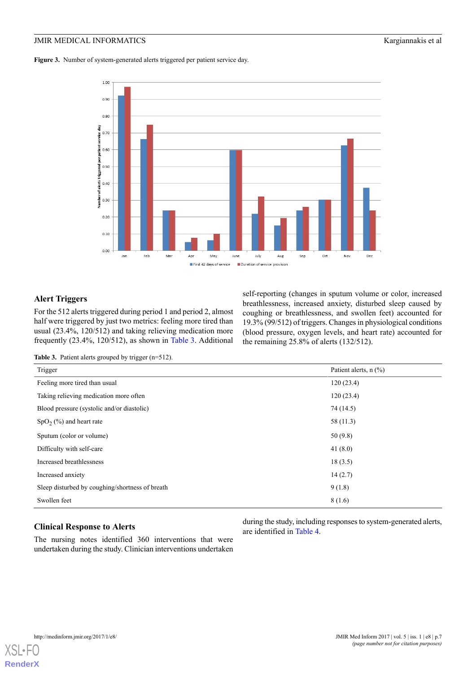<span id="page-7-0"></span>**Figure 3.** Number of system-generated alerts triggered per patient service day.



### **Alert Triggers**

<span id="page-7-1"></span>For the 512 alerts triggered during period 1 and period 2, almost half were triggered by just two metrics: feeling more tired than usual (23.4%, 120/512) and taking relieving medication more frequently (23.4%, 120/512), as shown in [Table 3.](#page-7-1) Additional

self-reporting (changes in sputum volume or color, increased breathlessness, increased anxiety, disturbed sleep caused by coughing or breathlessness, and swollen feet) accounted for 19.3% (99/512) of triggers. Changes in physiological conditions (blood pressure, oxygen levels, and heart rate) accounted for the remaining 25.8% of alerts (132/512).

Table 3. Patient alerts grouped by trigger (n=512).

| Trigger                                         | Patient alerts, n (%) |
|-------------------------------------------------|-----------------------|
| Feeling more tired than usual                   | 120(23.4)             |
| Taking relieving medication more often          | 120(23.4)             |
| Blood pressure (systolic and/or diastolic)      | 74 (14.5)             |
| $SpO2(\%)$ and heart rate                       | 58 (11.3)             |
| Sputum (color or volume)                        | 50(9.8)               |
| Difficulty with self-care                       | 41 $(8.0)$            |
| Increased breathlessness                        | 18(3.5)               |
| Increased anxiety                               | 14(2.7)               |
| Sleep disturbed by coughing/shortness of breath | 9(1.8)                |
| Swollen feet                                    | 8(1.6)                |

### **Clinical Response to Alerts**

The nursing notes identified 360 interventions that were undertaken during the study. Clinician interventions undertaken during the study, including responses to system-generated alerts, are identified in [Table 4.](#page-8-0)

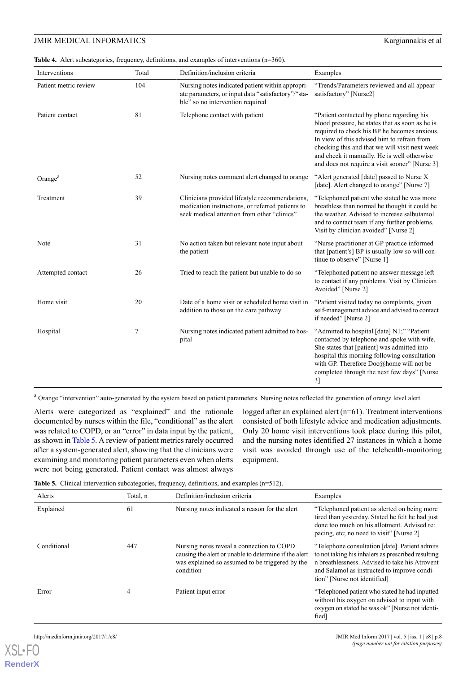#### <span id="page-8-0"></span>Table 4. Alert subcategories, frequency, definitions, and examples of interventions (n=360).

| Interventions         | Total | Definition/inclusion criteria                                                                                                                     | Examples                                                                                                                                                                                                                                                                                                                                       |  |
|-----------------------|-------|---------------------------------------------------------------------------------------------------------------------------------------------------|------------------------------------------------------------------------------------------------------------------------------------------------------------------------------------------------------------------------------------------------------------------------------------------------------------------------------------------------|--|
| Patient metric review | 104   | Nursing notes indicated patient within appropri-<br>ate parameters, or input data "satisfactory"/"sta-<br>ble" so no intervention required        | "Trends/Parameters reviewed and all appear<br>satisfactory" [Nurse2]                                                                                                                                                                                                                                                                           |  |
| Patient contact       | 81    | Telephone contact with patient                                                                                                                    | "Patient contacted by phone regarding his<br>blood pressure, he states that as soon as he is<br>required to check his BP he becomes anxious.<br>In view of this advised him to refrain from<br>checking this and that we will visit next week<br>and check it manually. He is well otherwise<br>and does not require a visit sooner" [Nurse 3] |  |
| Orange <sup>a</sup>   | 52    | Nursing notes comment alert changed to orange                                                                                                     | "Alert generated [date] passed to Nurse X<br>[date]. Alert changed to orange" [Nurse 7]                                                                                                                                                                                                                                                        |  |
| Treatment             | 39    | Clinicians provided lifestyle recommendations,<br>medication instructions, or referred patients to<br>seek medical attention from other "clinics" | "Telephoned patient who stated he was more<br>breathless than normal he thought it could be<br>the weather. Advised to increase salbutamol<br>and to contact team if any further problems.<br>Visit by clinician avoided" [Nurse 2]                                                                                                            |  |
| Note                  | 31    | No action taken but relevant note input about<br>the patient                                                                                      | "Nurse practitioner at GP practice informed<br>that [patient's] BP is usually low so will con-<br>tinue to observe" [Nurse 1]                                                                                                                                                                                                                  |  |
| Attempted contact     | 26    | Tried to reach the patient but unable to do so                                                                                                    | "Telephoned patient no answer message left<br>to contact if any problems. Visit by Clinician<br>Avoided" [Nurse 2]                                                                                                                                                                                                                             |  |
| Home visit            | 20    | Date of a home visit or scheduled home visit in<br>addition to those on the care pathway                                                          | "Patient visited today no complaints, given<br>self-management advice and advised to contact<br>if needed" [Nurse 2]                                                                                                                                                                                                                           |  |
| Hospital              | 7     | Nursing notes indicated patient admitted to hos-<br>pital                                                                                         | "Admitted to hospital [date] N1;" "Patient"<br>contacted by telephone and spoke with wife.<br>She states that [patient] was admitted into<br>hospital this morning following consultation<br>with GP. Therefore Doc@home will not be<br>completed through the next few days" [Nurse<br>3]                                                      |  |

<sup>a</sup> Orange "intervention" auto-generated by the system based on patient parameters. Nursing notes reflected the generation of orange level alert.

<span id="page-8-1"></span>Alerts were categorized as "explained" and the rationale documented by nurses within the file, "conditional" as the alert was related to COPD, or an "error" in data input by the patient, as shown in [Table 5](#page-8-1). A review of patient metrics rarely occurred after a system-generated alert, showing that the clinicians were examining and monitoring patient parameters even when alerts were not being generated. Patient contact was almost always

logged after an explained alert (n=61). Treatment interventions consisted of both lifestyle advice and medication adjustments. Only 20 home visit interventions took place during this pilot, and the nursing notes identified 27 instances in which a home visit was avoided through use of the telehealth-monitoring equipment.

|  |  |  | <b>Table 5.</b> Clinical intervention subcategories, frequency, definitions, and examples $(n=512)$ . |  |  |  |  |
|--|--|--|-------------------------------------------------------------------------------------------------------|--|--|--|--|
|--|--|--|-------------------------------------------------------------------------------------------------------|--|--|--|--|

| Alerts      | Total, n | Definition/inclusion criteria                                                                                                                                      | Examples                                                                                                                                                                                                                              |
|-------------|----------|--------------------------------------------------------------------------------------------------------------------------------------------------------------------|---------------------------------------------------------------------------------------------------------------------------------------------------------------------------------------------------------------------------------------|
| Explained   | 61       | Nursing notes indicated a reason for the alert                                                                                                                     | "Telephoned patient as alerted on being more"<br>tired than yesterday. Stated he felt he had just<br>done too much on his allotment. Advised re:<br>pacing, etc; no need to visit" [Nurse 2]                                          |
| Conditional | 447      | Nursing notes reveal a connection to COPD<br>causing the alert or unable to determine if the alert<br>was explained so assumed to be triggered by the<br>condition | "Telephone consultation [date]. Patient admits<br>to not taking his inhalers as prescribed resulting<br>n breathlessness. Advised to take his Atrovent<br>and Salamol as instructed to improve condi-<br>tion" [Nurse not identified] |
| Error       | 4        | Patient input error                                                                                                                                                | "Telephoned patient who stated he had inputted<br>without his oxygen on advised to input with<br>oxygen on stated he was ok" [Nurse not identi-<br>fied]                                                                              |

 $XS$ l • FC **[RenderX](http://www.renderx.com/)**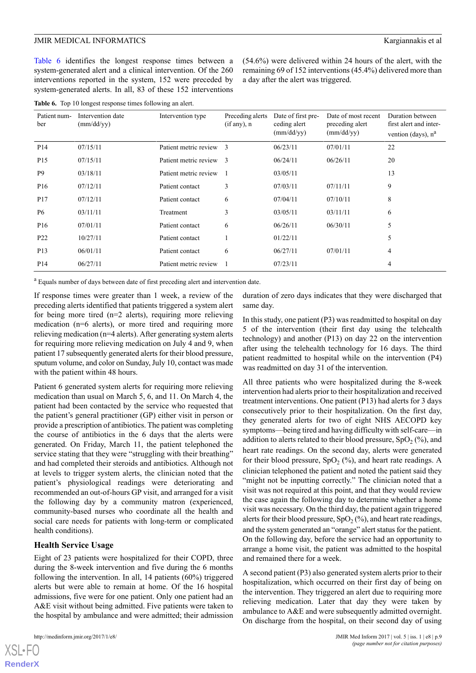[Table 6](#page-9-0) identifies the longest response times between a system-generated alert and a clinical intervention. Of the 260 interventions reported in the system, 152 were preceded by system-generated alerts. In all, 83 of these 152 interventions

(54.6%) were delivered within 24 hours of the alert, with the remaining 69 of 152 interventions (45.4%) delivered more than a day after the alert was triggered.

<span id="page-9-0"></span>**Table 6.** Top 10 longest response times following an alert.

| Patient num-<br>ber | Intervention date<br>$\text{(mm/dd/yy)}$ | Intervention type       | Preceding alerts<br>(if any), n | Date of first pre-<br>ceding alert | Date of most recent<br>preceding alert | Duration between<br>first alert and inter- |
|---------------------|------------------------------------------|-------------------------|---------------------------------|------------------------------------|----------------------------------------|--------------------------------------------|
|                     |                                          |                         |                                 | $\text{(mm/dd/yy)}$                | $\text{(mm/dd/yy)}$                    | vention (days), $n^a$                      |
| P <sub>14</sub>     | 07/15/11                                 | Patient metric review   | $\mathcal{F}$                   | 06/23/11                           | 07/01/11                               | 22                                         |
| P <sub>15</sub>     | 07/15/11                                 | Patient metric review 3 |                                 | 06/24/11                           | 06/26/11                               | 20                                         |
| <b>P9</b>           | 03/18/11                                 | Patient metric review   |                                 | 03/05/11                           |                                        | 13                                         |
| P <sub>16</sub>     | 07/12/11                                 | Patient contact         | 3                               | 07/03/11                           | 07/11/11                               | 9                                          |
| P17                 | 07/12/11                                 | Patient contact         | 6                               | 07/04/11                           | 07/10/11                               | 8                                          |
| <b>P6</b>           | 03/11/11                                 | Treatment               | 3                               | 03/05/11                           | 03/11/11                               | 6                                          |
| P <sub>16</sub>     | 07/01/11                                 | Patient contact         | 6                               | 06/26/11                           | 06/30/11                               | 5                                          |
| P <sub>22</sub>     | 10/27/11                                 | Patient contact         |                                 | 01/22/11                           |                                        | 5                                          |
| P <sub>13</sub>     | 06/01/11                                 | Patient contact         | 6                               | 06/27/11                           | 07/01/11                               | 4                                          |
| P <sub>14</sub>     | 06/27/11                                 | Patient metric review   |                                 | 07/23/11                           |                                        | 4                                          |

<sup>a</sup> Equals number of days between date of first preceding alert and intervention date.

If response times were greater than 1 week, a review of the preceding alerts identified that patients triggered a system alert for being more tired (n=2 alerts), requiring more relieving medication (n=6 alerts), or more tired and requiring more relieving medication (n=4 alerts). After generating system alerts for requiring more relieving medication on July 4 and 9, when patient 17 subsequently generated alerts for their blood pressure, sputum volume, and color on Sunday, July 10, contact was made with the patient within 48 hours.

Patient 6 generated system alerts for requiring more relieving medication than usual on March 5, 6, and 11. On March 4, the patient had been contacted by the service who requested that the patient's general practitioner (GP) either visit in person or provide a prescription of antibiotics. The patient was completing the course of antibiotics in the 6 days that the alerts were generated. On Friday, March 11, the patient telephoned the service stating that they were "struggling with their breathing" and had completed their steroids and antibiotics. Although not at levels to trigger system alerts, the clinician noted that the patient's physiological readings were deteriorating and recommended an out-of-hours GP visit, and arranged for a visit the following day by a community matron (experienced, community-based nurses who coordinate all the health and social care needs for patients with long-term or complicated health conditions).

### **Health Service Usage**

Eight of 23 patients were hospitalized for their COPD, three during the 8-week intervention and five during the 6 months following the intervention. In all, 14 patients (60%) triggered alerts but were able to remain at home. Of the 16 hospital admissions, five were for one patient. Only one patient had an A&E visit without being admitted. Five patients were taken to the hospital by ambulance and were admitted; their admission

 $XSI - F($ **[RenderX](http://www.renderx.com/)** duration of zero days indicates that they were discharged that same day.

In this study, one patient (P3) was readmitted to hospital on day 5 of the intervention (their first day using the telehealth technology) and another (P13) on day 22 on the intervention after using the telehealth technology for 16 days. The third patient readmitted to hospital while on the intervention (P4) was readmitted on day 31 of the intervention.

All three patients who were hospitalized during the 8-week intervention had alerts prior to their hospitalization and received treatment interventions. One patient (P13) had alerts for 3 days consecutively prior to their hospitalization. On the first day, they generated alerts for two of eight NHS AECOPD key symptoms—being tired and having difficulty with self-care—in addition to alerts related to their blood pressure,  $SpO<sub>2</sub>(\%)$ , and heart rate readings. On the second day, alerts were generated for their blood pressure,  $SpO<sub>2</sub>(\%)$ , and heart rate readings. A clinician telephoned the patient and noted the patient said they "might not be inputting correctly." The clinician noted that a visit was not required at this point, and that they would review the case again the following day to determine whether a home visit was necessary. On the third day, the patient again triggered alerts for their blood pressure,  $SpO<sub>2</sub>(\%)$ , and heart rate readings, and the system generated an "orange" alert status for the patient. On the following day, before the service had an opportunity to arrange a home visit, the patient was admitted to the hospital and remained there for a week.

A second patient (P3) also generated system alerts prior to their hospitalization, which occurred on their first day of being on the intervention. They triggered an alert due to requiring more relieving medication. Later that day they were taken by ambulance to A&E and were subsequently admitted overnight. On discharge from the hospital, on their second day of using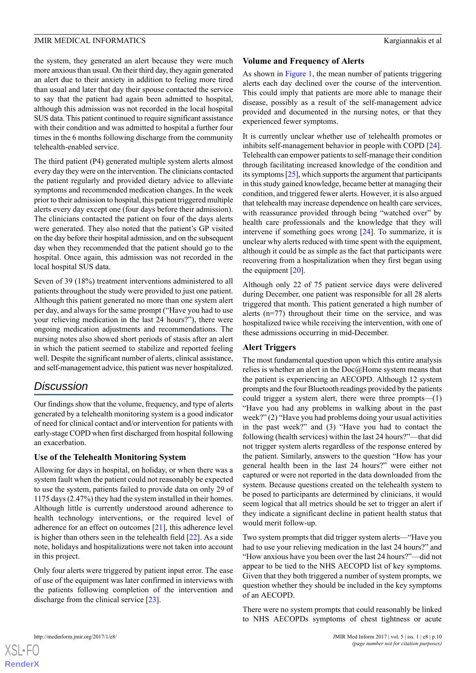the system, they generated an alert because they were much more anxious than usual. On their third day, they again generated an alert due to their anxiety in addition to feeling more tired than usual and later that day their spouse contacted the service to say that the patient had again been admitted to hospital, although this admission was not recorded in the local hospital SUS data. This patient continued to require significant assistance with their condition and was admitted to hospital a further four times in the 6 months following discharge from the community telehealth-enabled service.

The third patient (P4) generated multiple system alerts almost every day they were on the intervention. The clinicians contacted the patient regularly and provided dietary advice to alleviate symptoms and recommended medication changes. In the week prior to their admission to hospital, this patient triggered multiple alerts every day except one (four days before their admission). The clinicians contacted the patient on four of the days alerts were generated. They also noted that the patient's GP visited on the day before their hospital admission, and on the subsequent day when they recommended that the patient should go to the hospital. Once again, this admission was not recorded in the local hospital SUS data.

Seven of 39 (18%) treatment interventions administered to all patients throughout the study were provided to just one patient. Although this patient generated no more than one system alert per day, and always for the same prompt ("Have you had to use your relieving medication in the last 24 hours?"), there were ongoing medication adjustments and recommendations. The nursing notes also showed short periods of stasis after an alert in which the patient seemed to stabilize and reported feeling well. Despite the significant number of alerts, clinical assistance, and self-management advice, this patient was never hospitalized.

# *Discussion*

Our findings show that the volume, frequency, and type of alerts generated by a telehealth monitoring system is a good indicator of need for clinical contact and/or intervention for patients with early-stage COPD when first discharged from hospital following an exacerbation.

### **Use of the Telehealth Monitoring System**

Allowing for days in hospital, on holiday, or when there was a system fault when the patient could not reasonably be expected to use the system, patients failed to provide data on only 29 of 1175 days (2.47%) they had the system installed in their homes. Although little is currently understood around adherence to health technology interventions, or the required level of adherence for an effect on outcomes [[21\]](#page-14-3), this adherence level is higher than others seen in the telehealth field [[22\]](#page-14-4). As a side note, holidays and hospitalizations were not taken into account in this project.

Only four alerts were triggered by patient input error. The ease of use of the equipment was later confirmed in interviews with the patients following completion of the intervention and discharge from the clinical service [[23\]](#page-14-5).

### **Volume and Frequency of Alerts**

As shown in [Figure 1,](#page-6-0) the mean number of patients triggering alerts each day declined over the course of the intervention. This could imply that patients are more able to manage their disease, possibly as a result of the self-management advice provided and documented in the nursing notes, or that they experienced fewer symptoms.

It is currently unclear whether use of telehealth promotes or inhibits self-management behavior in people with COPD [[24\]](#page-14-6). Telehealth can empower patients to self-manage their condition through facilitating increased knowledge of the condition and its symptoms [\[25\]](#page-14-7), which supports the argument that participants in this study gained knowledge, became better at managing their condition, and triggered fewer alerts. However, it is also argued that telehealth may increase dependence on health care services, with reassurance provided through being "watched over" by health care professionals and the knowledge that they will intervene if something goes wrong [[24\]](#page-14-6). To summarize, it is unclear why alerts reduced with time spent with the equipment, although it could be as simple as the fact that participants were recovering from a hospitalization when they first began using the equipment [\[20](#page-14-2)].

Although only 22 of 75 patient service days were delivered during December, one patient was responsible for all 28 alerts triggered that month. This patient generated a high number of alerts (n=77) throughout their time on the service, and was hospitalized twice while receiving the intervention, with one of these admissions occurring in mid-December.

### **Alert Triggers**

The most fundamental question upon which this entire analysis relies is whether an alert in the Doc@Home system means that the patient is experiencing an AECOPD. Although 12 system prompts and the four Bluetooth readings provided by the patients could trigger a system alert, there were three prompts—(1) "Have you had any problems in walking about in the past week?" (2) "Have you had problems doing your usual activities in the past week?" and (3) "Have you had to contact the following (health services) within the last 24 hours?"—that did not trigger system alerts regardless of the response entered by the patient. Similarly, answers to the question "How has your general health been in the last 24 hours?" were either not captured or were not reported in the data downloaded from the system. Because questions created on the telehealth system to be posed to participants are determined by clinicians, it would seem logical that all metrics should be set to trigger an alert if they indicate a significant decline in patient health status that would merit follow-up.

Two system prompts that did trigger system alerts—"Have you had to use your relieving medication in the last 24 hours?" and "How anxious have you been over the last 24 hours?"—did not appear to be tied to the NHS AECOPD list of key symptoms. Given that they both triggered a number of system prompts, we question whether they should be included in the key symptoms of an AECOPD.

There were no system prompts that could reasonably be linked to NHS AECOPDs symptoms of chest tightness or acute

```
XS • FC
RenderX
```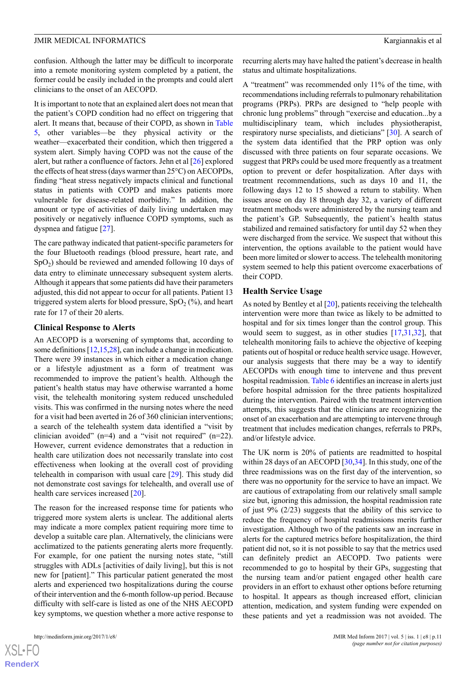confusion. Although the latter may be difficult to incorporate into a remote monitoring system completed by a patient, the former could be easily included in the prompts and could alert clinicians to the onset of an AECOPD.

It is important to note that an explained alert does not mean that the patient's COPD condition had no effect on triggering that alert. It means that, because of their COPD, as shown in [Table](#page-8-1) [5,](#page-8-1) other variables—be they physical activity or the weather—exacerbated their condition, which then triggered a system alert. Simply having COPD was not the cause of the alert, but rather a confluence of factors. Jehn et al [\[26](#page-14-8)] explored the effects of heat stress (days warmer than 25°C) on AECOPDs, finding "heat stress negatively impacts clinical and functional status in patients with COPD and makes patients more vulnerable for disease-related morbidity." In addition, the amount or type of activities of daily living undertaken may positively or negatively influence COPD symptoms, such as dyspnea and fatigue [\[27](#page-14-9)].

The care pathway indicated that patient-specific parameters for the four Bluetooth readings (blood pressure, heart rate, and  $SpO<sub>2</sub>$ ) should be reviewed and amended following 10 days of data entry to eliminate unnecessary subsequent system alerts. Although it appears that some patients did have their parameters adjusted, this did not appear to occur for all patients. Patient 13 triggered system alerts for blood pressure,  $SpO<sub>2</sub>(\%)$ , and heart rate for 17 of their 20 alerts.

### **Clinical Response to Alerts**

An AECOPD is a worsening of symptoms that, according to some definitions [\[12](#page-13-14)[,15](#page-13-10),[28](#page-14-10)], can include a change in medication. There were 39 instances in which either a medication change or a lifestyle adjustment as a form of treatment was recommended to improve the patient's health. Although the patient's health status may have otherwise warranted a home visit, the telehealth monitoring system reduced unscheduled visits. This was confirmed in the nursing notes where the need for a visit had been averted in 26 of 360 clinician interventions; a search of the telehealth system data identified a "visit by clinician avoided"  $(n=4)$  and a "visit not required"  $(n=22)$ . However, current evidence demonstrates that a reduction in health care utilization does not necessarily translate into cost effectiveness when looking at the overall cost of providing telehealth in comparison with usual care [[29\]](#page-14-11). This study did not demonstrate cost savings for telehealth, and overall use of health care services increased [[20\]](#page-14-2).

The reason for the increased response time for patients who triggered more system alerts is unclear. The additional alerts may indicate a more complex patient requiring more time to develop a suitable care plan. Alternatively, the clinicians were acclimatized to the patients generating alerts more frequently. For example, for one patient the nursing notes state, "still struggles with ADLs [activities of daily living], but this is not new for [patient]." This particular patient generated the most alerts and experienced two hospitalizations during the course of their intervention and the 6-month follow-up period. Because difficulty with self-care is listed as one of the NHS AECOPD key symptoms, we question whether a more active response to

recurring alerts may have halted the patient's decrease in health status and ultimate hospitalizations.

A "treatment" was recommended only 11% of the time, with recommendations including referrals to pulmonary rehabilitation programs (PRPs). PRPs are designed to "help people with chronic lung problems" through "exercise and education...by a multidisciplinary team, which includes physiotherapist, respiratory nurse specialists, and dieticians" [\[30](#page-14-12)]. A search of the system data identified that the PRP option was only discussed with three patients on four separate occasions. We suggest that PRPs could be used more frequently as a treatment option to prevent or defer hospitalization. After days with treatment recommendations, such as days 10 and 11, the following days 12 to 15 showed a return to stability. When issues arose on day 18 through day 32, a variety of different treatment methods were administered by the nursing team and the patient's GP. Subsequently, the patient's health status stabilized and remained satisfactory for until day 52 when they were discharged from the service. We suspect that without this intervention, the options available to the patient would have been more limited or slower to access. The telehealth monitoring system seemed to help this patient overcome exacerbations of their COPD.

### **Health Service Usage**

As noted by Bentley et al [[20\]](#page-14-2), patients receiving the telehealth intervention were more than twice as likely to be admitted to hospital and for six times longer than the control group. This would seem to suggest, as in other studies [\[17](#page-13-12)[,31](#page-14-13),[32\]](#page-14-14), that telehealth monitoring fails to achieve the objective of keeping patients out of hospital or reduce health service usage. However, our analysis suggests that there may be a way to identify AECOPDs with enough time to intervene and thus prevent hospital readmission. [Table 6](#page-9-0) identifies an increase in alerts just before hospital admission for the three patients hospitalized during the intervention. Paired with the treatment intervention attempts, this suggests that the clinicians are recognizing the onset of an exacerbation and are attempting to intervene through treatment that includes medication changes, referrals to PRPs, and/or lifestyle advice.

The UK norm is 20% of patients are readmitted to hospital within 28 days of an AECOPD [[30](#page-14-12)[,34](#page-14-15)]. In this study, one of the three readmissions was on the first day of the intervention, so there was no opportunity for the service to have an impact. We are cautious of extrapolating from our relatively small sample size but, ignoring this admission, the hospital readmission rate of just 9% (2/23) suggests that the ability of this service to reduce the frequency of hospital readmissions merits further investigation. Although two of the patients saw an increase in alerts for the captured metrics before hospitalization, the third patient did not, so it is not possible to say that the metrics used can definitely predict an AECOPD. Two patients were recommended to go to hospital by their GPs, suggesting that the nursing team and/or patient engaged other health care providers in an effort to exhaust other options before returning to hospital. It appears as though increased effort, clinician attention, medication, and system funding were expended on these patients and yet a readmission was not avoided. The

 $XS$ -FO **[RenderX](http://www.renderx.com/)**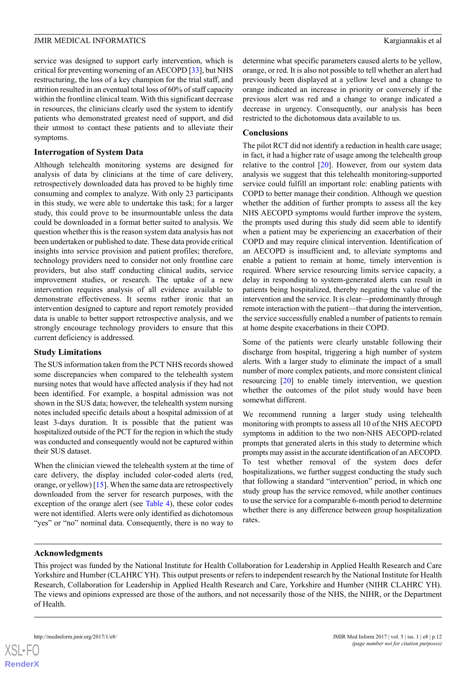service was designed to support early intervention, which is critical for preventing worsening of an AECOPD [[33](#page-14-16)], but NHS restructuring, the loss of a key champion for the trial staff, and attrition resulted in an eventual total loss of 60% of staff capacity within the frontline clinical team. With this significant decrease in resources, the clinicians clearly used the system to identify patients who demonstrated greatest need of support, and did their utmost to contact these patients and to alleviate their symptoms.

### **Interrogation of System Data**

Although telehealth monitoring systems are designed for analysis of data by clinicians at the time of care delivery, retrospectively downloaded data has proved to be highly time consuming and complex to analyze. With only 23 participants in this study, we were able to undertake this task; for a larger study, this could prove to be insurmountable unless the data could be downloaded in a format better suited to analysis. We question whether this is the reason system data analysis has not been undertaken or published to date. These data provide critical insights into service provision and patient profiles; therefore, technology providers need to consider not only frontline care providers, but also staff conducting clinical audits, service improvement studies, or research. The uptake of a new intervention requires analysis of all evidence available to demonstrate effectiveness. It seems rather ironic that an intervention designed to capture and report remotely provided data is unable to better support retrospective analysis, and we strongly encourage technology providers to ensure that this current deficiency is addressed.

### **Study Limitations**

The SUS information taken from the PCT NHS records showed some discrepancies when compared to the telehealth system nursing notes that would have affected analysis if they had not been identified. For example, a hospital admission was not shown in the SUS data; however, the telehealth system nursing notes included specific details about a hospital admission of at least 3-days duration. It is possible that the patient was hospitalized outside of the PCT for the region in which the study was conducted and consequently would not be captured within their SUS dataset.

When the clinician viewed the telehealth system at the time of care delivery, the display included color-coded alerts (red, orange, or yellow) [[15\]](#page-13-10). When the same data are retrospectively downloaded from the server for research purposes, with the exception of the orange alert (see [Table 4](#page-8-0)), these color codes were not identified. Alerts were only identified as dichotomous "yes" or "no" nominal data. Consequently, there is no way to

determine what specific parameters caused alerts to be yellow, orange, or red. It is also not possible to tell whether an alert had previously been displayed at a yellow level and a change to orange indicated an increase in priority or conversely if the previous alert was red and a change to orange indicated a decrease in urgency. Consequently, our analysis has been restricted to the dichotomous data available to us.

### **Conclusions**

The pilot RCT did not identify a reduction in health care usage; in fact, it had a higher rate of usage among the telehealth group relative to the control [\[20](#page-14-2)]. However, from our system data analysis we suggest that this telehealth monitoring-supported service could fulfill an important role: enabling patients with COPD to better manage their condition. Although we question whether the addition of further prompts to assess all the key NHS AECOPD symptoms would further improve the system, the prompts used during this study did seem able to identify when a patient may be experiencing an exacerbation of their COPD and may require clinical intervention. Identification of an AECOPD is insufficient and, to alleviate symptoms and enable a patient to remain at home, timely intervention is required. Where service resourcing limits service capacity, a delay in responding to system-generated alerts can result in patients being hospitalized, thereby negating the value of the intervention and the service. It is clear—predominantly through remote interaction with the patient—that during the intervention, the service successfully enabled a number of patients to remain at home despite exacerbations in their COPD.

Some of the patients were clearly unstable following their discharge from hospital, triggering a high number of system alerts. With a larger study to eliminate the impact of a small number of more complex patients, and more consistent clinical resourcing [\[20](#page-14-2)] to enable timely intervention, we question whether the outcomes of the pilot study would have been somewhat different.

We recommend running a larger study using telehealth monitoring with prompts to assess all 10 of the NHS AECOPD symptoms in addition to the two non-NHS AECOPD-related prompts that generated alerts in this study to determine which prompts may assist in the accurate identification of an AECOPD. To test whether removal of the system does defer hospitalizations, we further suggest conducting the study such that following a standard "intervention" period, in which one study group has the service removed, while another continues to use the service for a comparable 6-month period to determine whether there is any difference between group hospitalization rates.

### **Acknowledgments**

This project was funded by the National Institute for Health Collaboration for Leadership in Applied Health Research and Care Yorkshire and Humber (CLAHRC YH). This output presents or refers to independent research by the National Institute for Health Research, Collaboration for Leadership in Applied Health Research and Care, Yorkshire and Humber (NIHR CLAHRC YH). The views and opinions expressed are those of the authors, and not necessarily those of the NHS, the NIHR, or the Department of Health.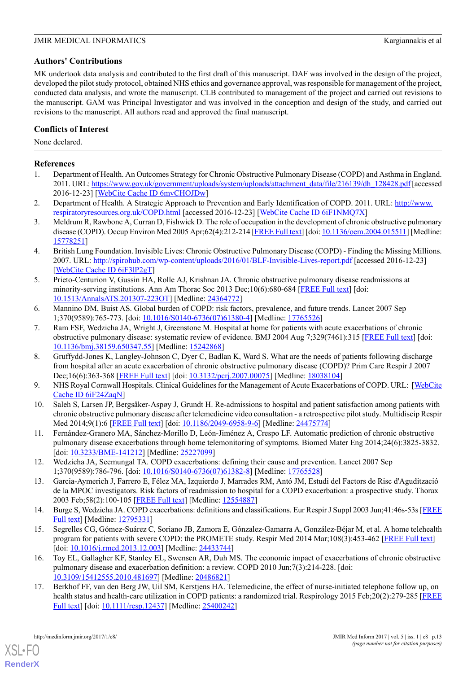### **Authors' Contributions**

MK undertook data analysis and contributed to the first draft of this manuscript. DAF was involved in the design of the project, developed the pilot study protocol, obtained NHS ethics and governance approval, was responsible for management of the project, conducted data analysis, and wrote the manuscript. CLB contributed to management of the project and carried out revisions to the manuscript. GAM was Principal Investigator and was involved in the conception and design of the study, and carried out revisions to the manuscript. All authors read and approved the final manuscript.

### **Conflicts of Interest**

None declared.

### <span id="page-13-0"></span>**References**

- <span id="page-13-1"></span>1. Department of Health. An Outcomes Strategy for Chronic Obstructive Pulmonary Disease (COPD) and Asthma in England. 2011. URL: [https://www.gov.uk/government/uploads/system/uploads/attachment\\_data/file/216139/dh\\_128428.pdf](https://www.gov.uk/government/uploads/system/uploads/attachment_data/file/216139/dh_128428.pdf) [accessed 2016-12-23] [\[WebCite Cache ID 6mvCHOJDw](http://www.webcitation.org/6mvCHOJDw)]
- <span id="page-13-2"></span>2. Department of Health. A Strategic Approach to Prevention and Early Identification of COPD. 2011. URL: [http://www.](http://www.respiratoryresources.org.uk/COPD.html) [respiratoryresources.org.uk/COPD.html](http://www.respiratoryresources.org.uk/COPD.html) [accessed 2016-12-23] [[WebCite Cache ID 6iF1NMQ7X\]](http://www.webcitation.org/6iF1NMQ7X)
- <span id="page-13-3"></span>3. Meldrum R, Rawbone A, Curran D, Fishwick D. The role of occupation in the development of chronic obstructive pulmonary disease (COPD). Occup Environ Med 2005 Apr;62(4):212-214 [\[FREE Full text](http://oem.bmj.com/cgi/pmidlookup?view=long&pmid=15778251)] [doi: [10.1136/oem.2004.015511\]](http://dx.doi.org/10.1136/oem.2004.015511) [Medline: [15778251](http://www.ncbi.nlm.nih.gov/entrez/query.fcgi?cmd=Retrieve&db=PubMed&list_uids=15778251&dopt=Abstract)]
- <span id="page-13-4"></span>4. British Lung Foundation. Invisible Lives: Chronic Obstructive Pulmonary Disease (COPD) - Finding the Missing Millions. 2007. URL: <http://spirohub.com/wp-content/uploads/2016/01/BLF-Invisible-Lives-report.pdf> [accessed 2016-12-23] [[WebCite Cache ID 6iF3lP2gT](http://www.webcitation.org/6iF3lP2gT)]
- <span id="page-13-5"></span>5. Prieto-Centurion V, Gussin HA, Rolle AJ, Krishnan JA. Chronic obstructive pulmonary disease readmissions at minority-serving institutions. Ann Am Thorac Soc 2013 Dec;10(6):680-684 [\[FREE Full text](http://europepmc.org/abstract/MED/24364772)] [doi: [10.1513/AnnalsATS.201307-223OT](http://dx.doi.org/10.1513/AnnalsATS.201307-223OT)] [Medline: [24364772\]](http://www.ncbi.nlm.nih.gov/entrez/query.fcgi?cmd=Retrieve&db=PubMed&list_uids=24364772&dopt=Abstract)
- <span id="page-13-6"></span>6. Mannino DM, Buist AS. Global burden of COPD: risk factors, prevalence, and future trends. Lancet 2007 Sep 1;370(9589):765-773. [doi: [10.1016/S0140-6736\(07\)61380-4\]](http://dx.doi.org/10.1016/S0140-6736(07)61380-4) [Medline: [17765526](http://www.ncbi.nlm.nih.gov/entrez/query.fcgi?cmd=Retrieve&db=PubMed&list_uids=17765526&dopt=Abstract)]
- <span id="page-13-7"></span>7. Ram FSF, Wedzicha JA, Wright J, Greenstone M. Hospital at home for patients with acute exacerbations of chronic obstructive pulmonary disease: systematic review of evidence. BMJ 2004 Aug 7;329(7461):315 [\[FREE Full text\]](http://europepmc.org/abstract/MED/15242868) [doi: [10.1136/bmj.38159.650347.55\]](http://dx.doi.org/10.1136/bmj.38159.650347.55) [Medline: [15242868](http://www.ncbi.nlm.nih.gov/entrez/query.fcgi?cmd=Retrieve&db=PubMed&list_uids=15242868&dopt=Abstract)]
- <span id="page-13-8"></span>8. Gruffydd-Jones K, Langley-Johnson C, Dyer C, Badlan K, Ward S. What are the needs of patients following discharge from hospital after an acute exacerbation of chronic obstructive pulmonary disease (COPD)? Prim Care Respir J 2007 Dec;16(6):363-368 [[FREE Full text](http://dx.doi.org/10.3132/pcrj.2007.00075)] [doi: [10.3132/pcrj.2007.00075\]](http://dx.doi.org/10.3132/pcrj.2007.00075) [Medline: [18038104](http://www.ncbi.nlm.nih.gov/entrez/query.fcgi?cmd=Retrieve&db=PubMed&list_uids=18038104&dopt=Abstract)]
- <span id="page-13-13"></span>9. NHS Royal Cornwall Hospitals. Clinical Guidelines for the Management of Acute Exacerbations of COPD. URL: [\[WebCite](http://www.webcitation.org/6iF24ZaqN) [Cache ID 6iF24ZaqN](http://www.webcitation.org/6iF24ZaqN)]
- <span id="page-13-14"></span>10. Saleh S, Larsen JP, Bergsåker-Aspøy J, Grundt H. Re-admissions to hospital and patient satisfaction among patients with chronic obstructive pulmonary disease after telemedicine video consultation - a retrospective pilot study. Multidiscip Respir Med 2014;9(1):6 [\[FREE Full text\]](http://mrmjournal.biomedcentral.com/articles/10.1186/2049-6958-9-6) [doi: [10.1186/2049-6958-9-6\]](http://dx.doi.org/10.1186/2049-6958-9-6) [Medline: [24475774\]](http://www.ncbi.nlm.nih.gov/entrez/query.fcgi?cmd=Retrieve&db=PubMed&list_uids=24475774&dopt=Abstract)
- 11. Fernández-Granero MA, Sánchez-Morillo D, León-Jiménez A, Crespo LF. Automatic prediction of chronic obstructive pulmonary disease exacerbations through home telemonitoring of symptoms. Biomed Mater Eng 2014;24(6):3825-3832. [doi: [10.3233/BME-141212](http://dx.doi.org/10.3233/BME-141212)] [Medline: [25227099\]](http://www.ncbi.nlm.nih.gov/entrez/query.fcgi?cmd=Retrieve&db=PubMed&list_uids=25227099&dopt=Abstract)
- <span id="page-13-9"></span>12. Wedzicha JA, Seemungal TA. COPD exacerbations: defining their cause and prevention. Lancet 2007 Sep 1;370(9589):786-796. [doi: [10.1016/S0140-6736\(07\)61382-8\]](http://dx.doi.org/10.1016/S0140-6736(07)61382-8) [Medline: [17765528](http://www.ncbi.nlm.nih.gov/entrez/query.fcgi?cmd=Retrieve&db=PubMed&list_uids=17765528&dopt=Abstract)]
- <span id="page-13-10"></span>13. Garcia-Aymerich J, Farrero E, Félez MA, Izquierdo J, Marrades RM, Antó JM, Estudi del Factors de Risc d'Agudització de la MPOC investigators. Risk factors of readmission to hospital for a COPD exacerbation: a prospective study. Thorax 2003 Feb;58(2):100-105 [\[FREE Full text\]](http://thorax.bmj.com/cgi/pmidlookup?view=long&pmid=12554887) [Medline: [12554887\]](http://www.ncbi.nlm.nih.gov/entrez/query.fcgi?cmd=Retrieve&db=PubMed&list_uids=12554887&dopt=Abstract)
- <span id="page-13-11"></span>14. Burge S, Wedzicha JA. COPD exacerbations: definitions and classifications. Eur Respir J Suppl 2003 Jun;41:46s-53s [[FREE](http://erj.ersjournals.com/cgi/pmidlookup?view=long&pmid=12795331) [Full text](http://erj.ersjournals.com/cgi/pmidlookup?view=long&pmid=12795331)] [Medline: [12795331\]](http://www.ncbi.nlm.nih.gov/entrez/query.fcgi?cmd=Retrieve&db=PubMed&list_uids=12795331&dopt=Abstract)
- <span id="page-13-12"></span>15. Segrelles CG, Gómez-Suárez C, Soriano JB, Zamora E, Gónzalez-Gamarra A, González-Béjar M, et al. A home telehealth program for patients with severe COPD: the PROMETE study. Respir Med 2014 Mar;108(3):453-462 [[FREE Full text](http://linkinghub.elsevier.com/retrieve/pii/S0954-6111(13)00489-7)] [doi: [10.1016/j.rmed.2013.12.003\]](http://dx.doi.org/10.1016/j.rmed.2013.12.003) [Medline: [24433744](http://www.ncbi.nlm.nih.gov/entrez/query.fcgi?cmd=Retrieve&db=PubMed&list_uids=24433744&dopt=Abstract)]
- 16. Toy EL, Gallagher KF, Stanley EL, Swensen AR, Duh MS. The economic impact of exacerbations of chronic obstructive pulmonary disease and exacerbation definition: a review. COPD 2010 Jun;7(3):214-228. [doi: [10.3109/15412555.2010.481697\]](http://dx.doi.org/10.3109/15412555.2010.481697) [Medline: [20486821](http://www.ncbi.nlm.nih.gov/entrez/query.fcgi?cmd=Retrieve&db=PubMed&list_uids=20486821&dopt=Abstract)]
- 17. Berkhof FF, van den Berg JW, Uil SM, Kerstjens HA. Telemedicine, the effect of nurse-initiated telephone follow up, on health status and health-care utilization in COPD patients: a randomized trial. Respirology 2015 Feb;20(2):279-285 [\[FREE](http://dx.doi.org/10.1111/resp.12437) [Full text](http://dx.doi.org/10.1111/resp.12437)] [doi: [10.1111/resp.12437\]](http://dx.doi.org/10.1111/resp.12437) [Medline: [25400242](http://www.ncbi.nlm.nih.gov/entrez/query.fcgi?cmd=Retrieve&db=PubMed&list_uids=25400242&dopt=Abstract)]

[XSL](http://www.w3.org/Style/XSL)•FO **[RenderX](http://www.renderx.com/)**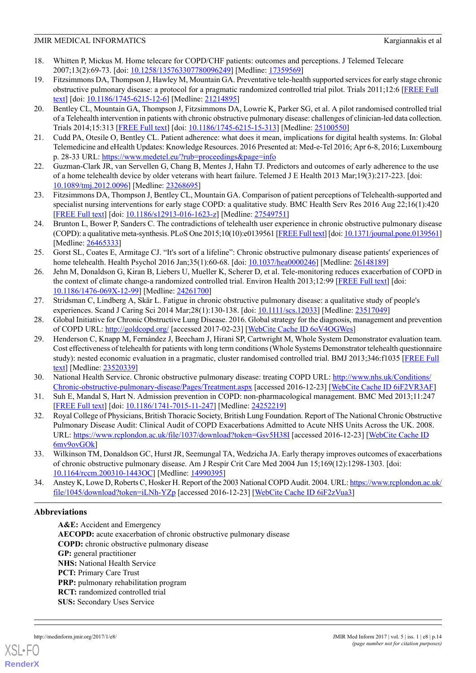- <span id="page-14-0"></span>18. Whitten P, Mickus M. Home telecare for COPD/CHF patients: outcomes and perceptions. J Telemed Telecare 2007;13(2):69-73. [doi: [10.1258/135763307780096249\]](http://dx.doi.org/10.1258/135763307780096249) [Medline: [17359569](http://www.ncbi.nlm.nih.gov/entrez/query.fcgi?cmd=Retrieve&db=PubMed&list_uids=17359569&dopt=Abstract)]
- <span id="page-14-1"></span>19. Fitzsimmons DA, Thompson J, Hawley M, Mountain GA. Preventative tele-health supported services for early stage chronic obstructive pulmonary disease: a protocol for a pragmatic randomized controlled trial pilot. Trials 2011;12:6 [[FREE Full](http://trialsjournal.biomedcentral.com/articles/10.1186/1745-6215-12-6) [text\]](http://trialsjournal.biomedcentral.com/articles/10.1186/1745-6215-12-6) [doi: [10.1186/1745-6215-12-6\]](http://dx.doi.org/10.1186/1745-6215-12-6) [Medline: [21214895](http://www.ncbi.nlm.nih.gov/entrez/query.fcgi?cmd=Retrieve&db=PubMed&list_uids=21214895&dopt=Abstract)]
- <span id="page-14-2"></span>20. Bentley CL, Mountain GA, Thompson J, Fitzsimmons DA, Lowrie K, Parker SG, et al. A pilot randomised controlled trial of a Telehealth intervention in patients with chronic obstructive pulmonary disease: challenges of clinician-led data collection. Trials 2014;15:313 [\[FREE Full text\]](http://trialsjournal.biomedcentral.com/articles/10.1186/1745-6215-15-313) [doi: [10.1186/1745-6215-15-313\]](http://dx.doi.org/10.1186/1745-6215-15-313) [Medline: [25100550\]](http://www.ncbi.nlm.nih.gov/entrez/query.fcgi?cmd=Retrieve&db=PubMed&list_uids=25100550&dopt=Abstract)
- <span id="page-14-4"></span><span id="page-14-3"></span>21. Cudd PA, Otesile O, Bentley CL. Patient adherence: what does it mean, implications for digital health systems. In: Global Telemedicine and eHealth Updates: Knowledge Resources. 2016 Presented at: Med-e-Tel 2016; Apr 6-8, 2016; Luxembourg p. 28-33 URL: <https://www.medetel.eu/?rub=proceedings&page=info>
- <span id="page-14-5"></span>22. Guzman-Clark JR, van Servellen G, Chang B, Mentes J, Hahn TJ. Predictors and outcomes of early adherence to the use of a home telehealth device by older veterans with heart failure. Telemed J E Health 2013 Mar;19(3):217-223. [doi: [10.1089/tmj.2012.0096](http://dx.doi.org/10.1089/tmj.2012.0096)] [Medline: [23268695\]](http://www.ncbi.nlm.nih.gov/entrez/query.fcgi?cmd=Retrieve&db=PubMed&list_uids=23268695&dopt=Abstract)
- <span id="page-14-6"></span>23. Fitzsimmons DA, Thompson J, Bentley CL, Mountain GA. Comparison of patient perceptions of Telehealth-supported and specialist nursing interventions for early stage COPD: a qualitative study. BMC Health Serv Res 2016 Aug 22;16(1):420 [[FREE Full text](https://bmchealthservres.biomedcentral.com/articles/10.1186/s12913-016-1623-z)] [doi: [10.1186/s12913-016-1623-z\]](http://dx.doi.org/10.1186/s12913-016-1623-z) [Medline: [27549751](http://www.ncbi.nlm.nih.gov/entrez/query.fcgi?cmd=Retrieve&db=PubMed&list_uids=27549751&dopt=Abstract)]
- <span id="page-14-7"></span>24. Brunton L, Bower P, Sanders C. The contradictions of telehealth user experience in chronic obstructive pulmonary disease (COPD): a qualitative meta-synthesis. PLoS One 2015;10(10):e0139561 [\[FREE Full text\]](http://dx.plos.org/10.1371/journal.pone.0139561) [doi: [10.1371/journal.pone.0139561\]](http://dx.doi.org/10.1371/journal.pone.0139561) [Medline: [26465333](http://www.ncbi.nlm.nih.gov/entrez/query.fcgi?cmd=Retrieve&db=PubMed&list_uids=26465333&dopt=Abstract)]
- <span id="page-14-8"></span>25. Gorst SL, Coates E, Armitage CJ. "It's sort of a lifeline": Chronic obstructive pulmonary disease patients' experiences of home telehealth. Health Psychol 2016 Jan;35(1):60-68. [doi: [10.1037/hea0000246](http://dx.doi.org/10.1037/hea0000246)] [Medline: [26148189\]](http://www.ncbi.nlm.nih.gov/entrez/query.fcgi?cmd=Retrieve&db=PubMed&list_uids=26148189&dopt=Abstract)
- <span id="page-14-9"></span>26. Jehn M, Donaldson G, Kiran B, Liebers U, Mueller K, Scherer D, et al. Tele-monitoring reduces exacerbation of COPD in the context of climate change-a randomized controlled trial. Environ Health 2013;12:99 [\[FREE Full text\]](http://ehjournal.biomedcentral.com/articles/10.1186/1476-069X-12-99) [doi: [10.1186/1476-069X-12-99\]](http://dx.doi.org/10.1186/1476-069X-12-99) [Medline: [24261700](http://www.ncbi.nlm.nih.gov/entrez/query.fcgi?cmd=Retrieve&db=PubMed&list_uids=24261700&dopt=Abstract)]
- <span id="page-14-11"></span><span id="page-14-10"></span>27. Stridsman C, Lindberg A, Skär L. Fatigue in chronic obstructive pulmonary disease: a qualitative study of people's experiences. Scand J Caring Sci 2014 Mar;28(1):130-138. [doi: [10.1111/scs.12033\]](http://dx.doi.org/10.1111/scs.12033) [Medline: [23517049\]](http://www.ncbi.nlm.nih.gov/entrez/query.fcgi?cmd=Retrieve&db=PubMed&list_uids=23517049&dopt=Abstract)
- 28. Global Initiative for Chronic Obstructive Lung Disease. 2016. Global strategy for the diagnosis, management and prevention of COPD URL: <http://goldcopd.org/> [accessed 2017-02-23] [\[WebCite Cache ID 6oV4OGWes\]](http://www.webcitation.org/6oV4OGWes)
- <span id="page-14-13"></span><span id="page-14-12"></span>29. Henderson C, Knapp M, Fernández J, Beecham J, Hirani SP, Cartwright M, Whole System Demonstrator evaluation team. Cost effectiveness of telehealth for patients with long term conditions (Whole Systems Demonstrator telehealth questionnaire study): nested economic evaluation in a pragmatic, cluster randomised controlled trial. BMJ 2013;346:f1035 [\[FREE Full](http://www.bmj.com/cgi/pmidlookup?view=long&pmid=23520339) [text\]](http://www.bmj.com/cgi/pmidlookup?view=long&pmid=23520339) [Medline: [23520339](http://www.ncbi.nlm.nih.gov/entrez/query.fcgi?cmd=Retrieve&db=PubMed&list_uids=23520339&dopt=Abstract)]
- <span id="page-14-14"></span>30. National Health Service. Chronic obstructive pulmonary disease: treating COPD URL: [http://www.nhs.uk/Conditions/](http://www.nhs.uk/Conditions/Chronic-obstructive-pulmonary-disease/Pages/Treatment.aspx) [Chronic-obstructive-pulmonary-disease/Pages/Treatment.aspx](http://www.nhs.uk/Conditions/Chronic-obstructive-pulmonary-disease/Pages/Treatment.aspx) [accessed 2016-12-23] [[WebCite Cache ID 6iF2VR3AF](http://www.webcitation.org/6iF2VR3AF)]
- 31. Suh E, Mandal S, Hart N. Admission prevention in COPD: non-pharmacological management. BMC Med 2013;11:247 [[FREE Full text](http://bmcmedicine.biomedcentral.com/articles/10.1186/1741-7015-11-247)] [doi: [10.1186/1741-7015-11-247](http://dx.doi.org/10.1186/1741-7015-11-247)] [Medline: [24252219\]](http://www.ncbi.nlm.nih.gov/entrez/query.fcgi?cmd=Retrieve&db=PubMed&list_uids=24252219&dopt=Abstract)
- <span id="page-14-16"></span><span id="page-14-15"></span>32. Royal College of Physicians, British Thoracic Society, British Lung Foundation. Report of The National Chronic Obstructive Pulmonary Disease Audit: Clinical Audit of COPD Exacerbations Admitted to Acute NHS Units Across the UK. 2008. URL: <https://www.rcplondon.ac.uk/file/1037/download?token=Gsv5H38I> [accessed 2016-12-23] [\[WebCite Cache ID](http://www.webcitation.org/6mv9ovGOk) [6mv9ovGOk\]](http://www.webcitation.org/6mv9ovGOk)
- 33. Wilkinson TM, Donaldson GC, Hurst JR, Seemungal TA, Wedzicha JA. Early therapy improves outcomes of exacerbations of chronic obstructive pulmonary disease. Am J Respir Crit Care Med 2004 Jun 15;169(12):1298-1303. [doi: [10.1164/rccm.200310-1443OC](http://dx.doi.org/10.1164/rccm.200310-1443OC)] [Medline: [14990395\]](http://www.ncbi.nlm.nih.gov/entrez/query.fcgi?cmd=Retrieve&db=PubMed&list_uids=14990395&dopt=Abstract)
- 34. Anstey K, Lowe D, Roberts C, Hosker H. Report of the 2003 National COPD Audit. 2004. URL: [https://www.rcplondon.ac.uk/](https://www.rcplondon.ac.uk/file/1045/download?token=iLNh-YZp) [file/1045/download?token=iLNh-YZp](https://www.rcplondon.ac.uk/file/1045/download?token=iLNh-YZp) [accessed 2016-12-23] [[WebCite Cache ID 6iF2zVua3](http://www.webcitation.org/6iF2zVua3)]

### **Abbreviations**

**A&E:** Accident and Emergency **AECOPD:** acute exacerbation of chronic obstructive pulmonary disease **COPD:** chronic obstructive pulmonary disease **GP:** general practitioner **NHS:** National Health Service **PCT:** Primary Care Trust **PRP:** pulmonary rehabilitation program **RCT:** randomized controlled trial **SUS:** Secondary Uses Service

[XSL](http://www.w3.org/Style/XSL)•FO **[RenderX](http://www.renderx.com/)**